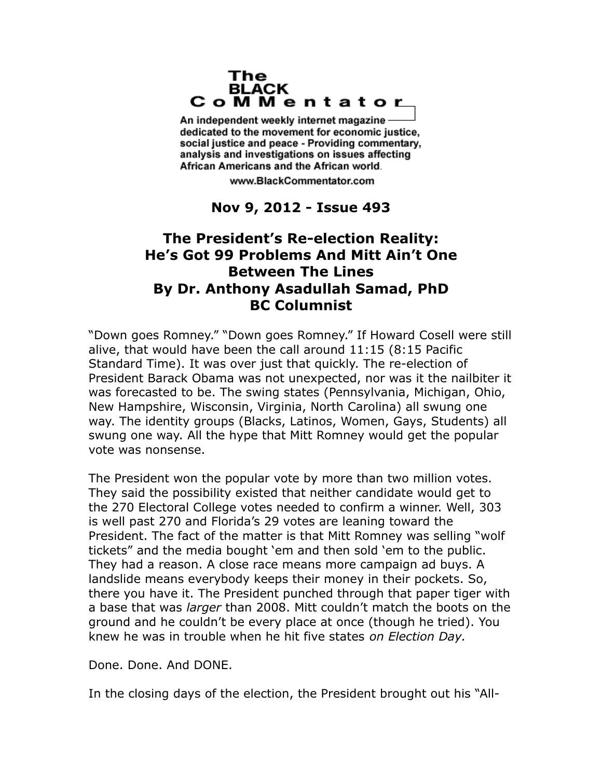## The **BLACK** CoMMentator

An independent weekly internet magazine dedicated to the movement for economic justice. social justice and peace - Providing commentary, analysis and investigations on issues affecting African Americans and the African world.

www.BlackCommentator.com

**Nov 9, 2012 - Issue 493**

## **The President's Re-election Reality: He's Got 99 Problems And Mitt Ain't One Between The Lines By Dr. Anthony Asadullah Samad, PhD BC Columnist**

"Down goes Romney." "Down goes Romney." If Howard Cosell were still alive, that would have been the call around 11:15 (8:15 Pacific Standard Time). It was over just that quickly. The re-election of President Barack Obama was not unexpected, nor was it the nailbiter it was forecasted to be. The swing states (Pennsylvania, Michigan, Ohio, New Hampshire, Wisconsin, Virginia, North Carolina) all swung one way. The identity groups (Blacks, Latinos, Women, Gays, Students) all swung one way. All the hype that Mitt Romney would get the popular vote was nonsense.

The President won the popular vote by more than two million votes. They said the possibility existed that neither candidate would get to the 270 Electoral College votes needed to confirm a winner. Well, 303 is well past 270 and Florida's 29 votes are leaning toward the President. The fact of the matter is that Mitt Romney was selling "wolf tickets" and the media bought 'em and then sold 'em to the public. They had a reason. A close race means more campaign ad buys. A landslide means everybody keeps their money in their pockets. So, there you have it. The President punched through that paper tiger with a base that was *larger* than 2008. Mitt couldn't match the boots on the ground and he couldn't be every place at once (though he tried). You knew he was in trouble when he hit five states *on Election Day.*

Done. Done. And DONE.

In the closing days of the election, the President brought out his "All-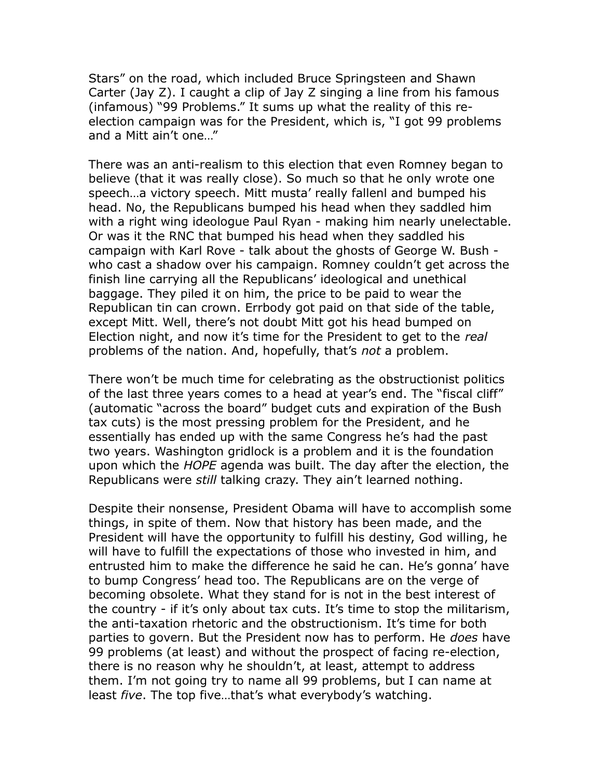Stars" on the road, which included Bruce Springsteen and Shawn Carter (Jay Z). I caught a clip of Jay Z singing a line from his famous (infamous) "99 Problems." It sums up what the reality of this reelection campaign was for the President, which is, "I got 99 problems and a Mitt ain't one…"

There was an anti-realism to this election that even Romney began to believe (that it was really close). So much so that he only wrote one speech…a victory speech. Mitt musta' really fallenl and bumped his head. No, the Republicans bumped his head when they saddled him with a right wing ideologue Paul Ryan - making him nearly unelectable. Or was it the RNC that bumped his head when they saddled his campaign with Karl Rove - talk about the ghosts of George W. Bush who cast a shadow over his campaign. Romney couldn't get across the finish line carrying all the Republicans' ideological and unethical baggage. They piled it on him, the price to be paid to wear the Republican tin can crown. Errbody got paid on that side of the table, except Mitt. Well, there's not doubt Mitt got his head bumped on Election night, and now it's time for the President to get to the *real*  problems of the nation. And, hopefully, that's *not* a problem.

There won't be much time for celebrating as the obstructionist politics of the last three years comes to a head at year's end. The "fiscal cliff" (automatic "across the board" budget cuts and expiration of the Bush tax cuts) is the most pressing problem for the President, and he essentially has ended up with the same Congress he's had the past two years. Washington gridlock is a problem and it is the foundation upon which the *HOPE* agenda was built. The day after the election, the Republicans were *still* talking crazy. They ain't learned nothing.

Despite their nonsense, President Obama will have to accomplish some things, in spite of them. Now that history has been made, and the President will have the opportunity to fulfill his destiny, God willing, he will have to fulfill the expectations of those who invested in him, and entrusted him to make the difference he said he can. He's gonna' have to bump Congress' head too. The Republicans are on the verge of becoming obsolete. What they stand for is not in the best interest of the country - if it's only about tax cuts. It's time to stop the militarism, the anti-taxation rhetoric and the obstructionism. It's time for both parties to govern. But the President now has to perform. He *does* have 99 problems (at least) and without the prospect of facing re-election, there is no reason why he shouldn't, at least, attempt to address them. I'm not going try to name all 99 problems, but I can name at least *five*. The top five…that's what everybody's watching.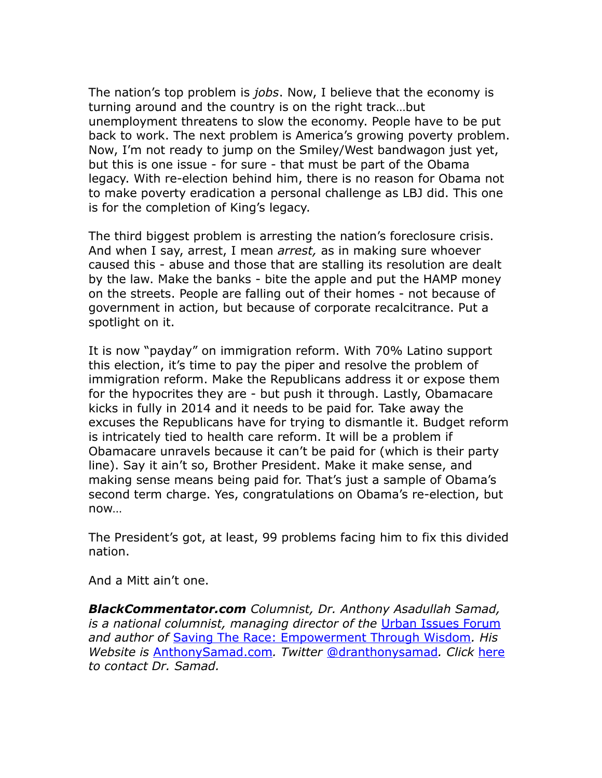The nation's top problem is *jobs*. Now, I believe that the economy is turning around and the country is on the right track…but unemployment threatens to slow the economy. People have to be put back to work. The next problem is America's growing poverty problem. Now, I'm not ready to jump on the Smiley/West bandwagon just yet, but this is one issue - for sure - that must be part of the Obama legacy. With re-election behind him, there is no reason for Obama not to make poverty eradication a personal challenge as LBJ did. This one is for the completion of King's legacy.

The third biggest problem is arresting the nation's foreclosure crisis. And when I say, arrest, I mean *arrest,* as in making sure whoever caused this - abuse and those that are stalling its resolution are dealt by the law. Make the banks - bite the apple and put the HAMP money on the streets. People are falling out of their homes - not because of government in action, but because of corporate recalcitrance. Put a spotlight on it.

It is now "payday" on immigration reform. With 70% Latino support this election, it's time to pay the piper and resolve the problem of immigration reform. Make the Republicans address it or expose them for the hypocrites they are - but push it through. Lastly, Obamacare kicks in fully in 2014 and it needs to be paid for. Take away the excuses the Republicans have for trying to dismantle it. Budget reform is intricately tied to health care reform. It will be a problem if Obamacare unravels because it can't be paid for (which is their party line). Say it ain't so, Brother President. Make it make sense, and making sense means being paid for. That's just a sample of Obama's second term charge. Yes, congratulations on Obama's re-election, but now…

The President's got, at least, 99 problems facing him to fix this divided nation.

And a Mitt ain't one.

*BlackCommentator.com Columnist, Dr. Anthony Asadullah Samad, is a national columnist, managing director of the* [Urban Issues Forum](http://www.anthonysamad.com/forum.php) *and author of* [Saving The Race: Empowerment Through Wisdom](http://www.amazon.com/gp/product/0972388036?ie=UTF8&tag=blackcommenta-20&link_code=as3&camp=211189&creative=373489&creativeASIN=0972388036)*. His Website is* [AnthonySamad.com](http://www.anthonysamad.com/)*. Twitter* [@dranthonysamad](http://twitter.com/#!/@dranthonysamad)*. Click* [here](http://www.blackcommentator.com/contact_forms/anthony_samad/gbcf_form.php) *to contact Dr. Samad.*